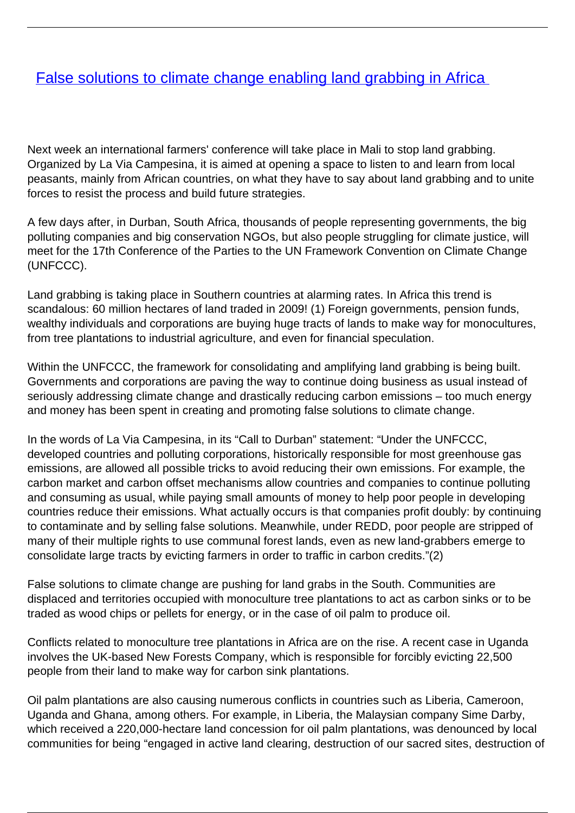## **[False solutions to climate change enabling land grabbing in Africa](/bulletin-articles/false-solutions-to-climate-change-enabling-land-grabbing-in-africa)**

Next week an international farmers' conference will take place in Mali to stop land grabbing. Organized by La Via Campesina, it is aimed at opening a space to listen to and learn from local peasants, mainly from African countries, on what they have to say about land grabbing and to unite forces to resist the process and build future strategies.

A few days after, in Durban, South Africa, thousands of people representing governments, the big polluting companies and big conservation NGOs, but also people struggling for climate justice, will meet for the 17th Conference of the Parties to the UN Framework Convention on Climate Change (UNFCCC).

Land grabbing is taking place in Southern countries at alarming rates. In Africa this trend is scandalous: 60 million hectares of land traded in 2009! (1) Foreign governments, pension funds, wealthy individuals and corporations are buying huge tracts of lands to make way for monocultures, from tree plantations to industrial agriculture, and even for financial speculation.

Within the UNFCCC, the framework for consolidating and amplifying land grabbing is being built. Governments and corporations are paving the way to continue doing business as usual instead of seriously addressing climate change and drastically reducing carbon emissions – too much energy and money has been spent in creating and promoting false solutions to climate change.

In the words of La Via Campesina, in its "Call to Durban" statement: "Under the UNFCCC, developed countries and polluting corporations, historically responsible for most greenhouse gas emissions, are allowed all possible tricks to avoid reducing their own emissions. For example, the carbon market and carbon offset mechanisms allow countries and companies to continue polluting and consuming as usual, while paying small amounts of money to help poor people in developing countries reduce their emissions. What actually occurs is that companies profit doubly: by continuing to contaminate and by selling false solutions. Meanwhile, under REDD, poor people are stripped of many of their multiple rights to use communal forest lands, even as new land-grabbers emerge to consolidate large tracts by evicting farmers in order to traffic in carbon credits."(2)

False solutions to climate change are pushing for land grabs in the South. Communities are displaced and territories occupied with monoculture tree plantations to act as carbon sinks or to be traded as wood chips or pellets for energy, or in the case of oil palm to produce oil.

Conflicts related to monoculture tree plantations in Africa are on the rise. A recent case in Uganda involves the UK-based New Forests Company, which is responsible for forcibly evicting 22,500 people from their land to make way for carbon sink plantations.

Oil palm plantations are also causing numerous conflicts in countries such as Liberia, Cameroon, Uganda and Ghana, among others. For example, in Liberia, the Malaysian company Sime Darby, which received a 220,000-hectare land concession for oil palm plantations, was denounced by local communities for being "engaged in active land clearing, destruction of our sacred sites, destruction of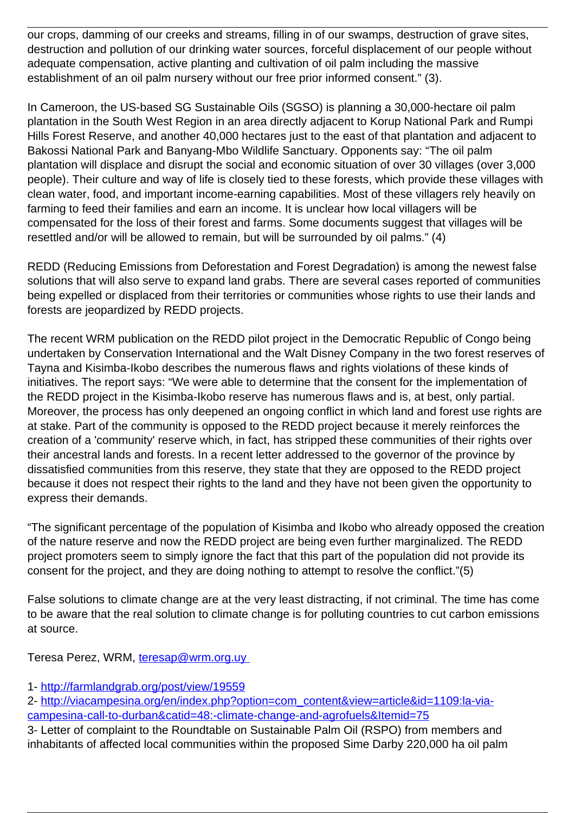our crops, damming of our creeks and streams, filling in of our swamps, destruction of grave sites, destruction and pollution of our drinking water sources, forceful displacement of our people without adequate compensation, active planting and cultivation of oil palm including the massive establishment of an oil palm nursery without our free prior informed consent." (3).

In Cameroon, the US-based SG Sustainable Oils (SGSO) is planning a 30,000-hectare oil palm plantation in the South West Region in an area directly adjacent to Korup National Park and Rumpi Hills Forest Reserve, and another 40,000 hectares just to the east of that plantation and adjacent to Bakossi National Park and Banyang-Mbo Wildlife Sanctuary. Opponents say: "The oil palm plantation will displace and disrupt the social and economic situation of over 30 villages (over 3,000 people). Their culture and way of life is closely tied to these forests, which provide these villages with clean water, food, and important income-earning capabilities. Most of these villagers rely heavily on farming to feed their families and earn an income. It is unclear how local villagers will be compensated for the loss of their forest and farms. Some documents suggest that villages will be resettled and/or will be allowed to remain, but will be surrounded by oil palms." (4)

REDD (Reducing Emissions from Deforestation and Forest Degradation) is among the newest false solutions that will also serve to expand land grabs. There are several cases reported of communities being expelled or displaced from their territories or communities whose rights to use their lands and forests are jeopardized by REDD projects.

The recent WRM publication on the REDD pilot project in the Democratic Republic of Congo being undertaken by Conservation International and the Walt Disney Company in the two forest reserves of Tayna and Kisimba-Ikobo describes the numerous flaws and rights violations of these kinds of initiatives. The report says: "We were able to determine that the consent for the implementation of the REDD project in the Kisimba-Ikobo reserve has numerous flaws and is, at best, only partial. Moreover, the process has only deepened an ongoing conflict in which land and forest use rights are at stake. Part of the community is opposed to the REDD project because it merely reinforces the creation of a 'community' reserve which, in fact, has stripped these communities of their rights over their ancestral lands and forests. In a recent letter addressed to the governor of the province by dissatisfied communities from this reserve, they state that they are opposed to the REDD project because it does not respect their rights to the land and they have not been given the opportunity to express their demands.

"The significant percentage of the population of Kisimba and Ikobo who already opposed the creation of the nature reserve and now the REDD project are being even further marginalized. The REDD project promoters seem to simply ignore the fact that this part of the population did not provide its consent for the project, and they are doing nothing to attempt to resolve the conflict."(5)

False solutions to climate change are at the very least distracting, if not criminal. The time has come to be aware that the real solution to climate change is for polluting countries to cut carbon emissions at source.

Teresa Perez, WRM, teresap@wrm.org.uv

- 1-<http://farmlandgrab.org/post/view/19559>
- 2- [http://viacampesina.org/en/index.php?option=com\\_content&view=article&id=1109:la-via](http://viacampesina.org/en/index.php?option=com_content&view=article&id=1109:la-via-campesina-call-to-durban&catid=48:-climate-change-and-agrofuels&Itemid=75)[campesina-call-to-durban&catid=48:-climate-change-and-agrofuels&Itemid=75](http://viacampesina.org/en/index.php?option=com_content&view=article&id=1109:la-via-campesina-call-to-durban&catid=48:-climate-change-and-agrofuels&Itemid=75)

3- Letter of complaint to the Roundtable on Sustainable Palm Oil (RSPO) from members and inhabitants of affected local communities within the proposed Sime Darby 220,000 ha oil palm